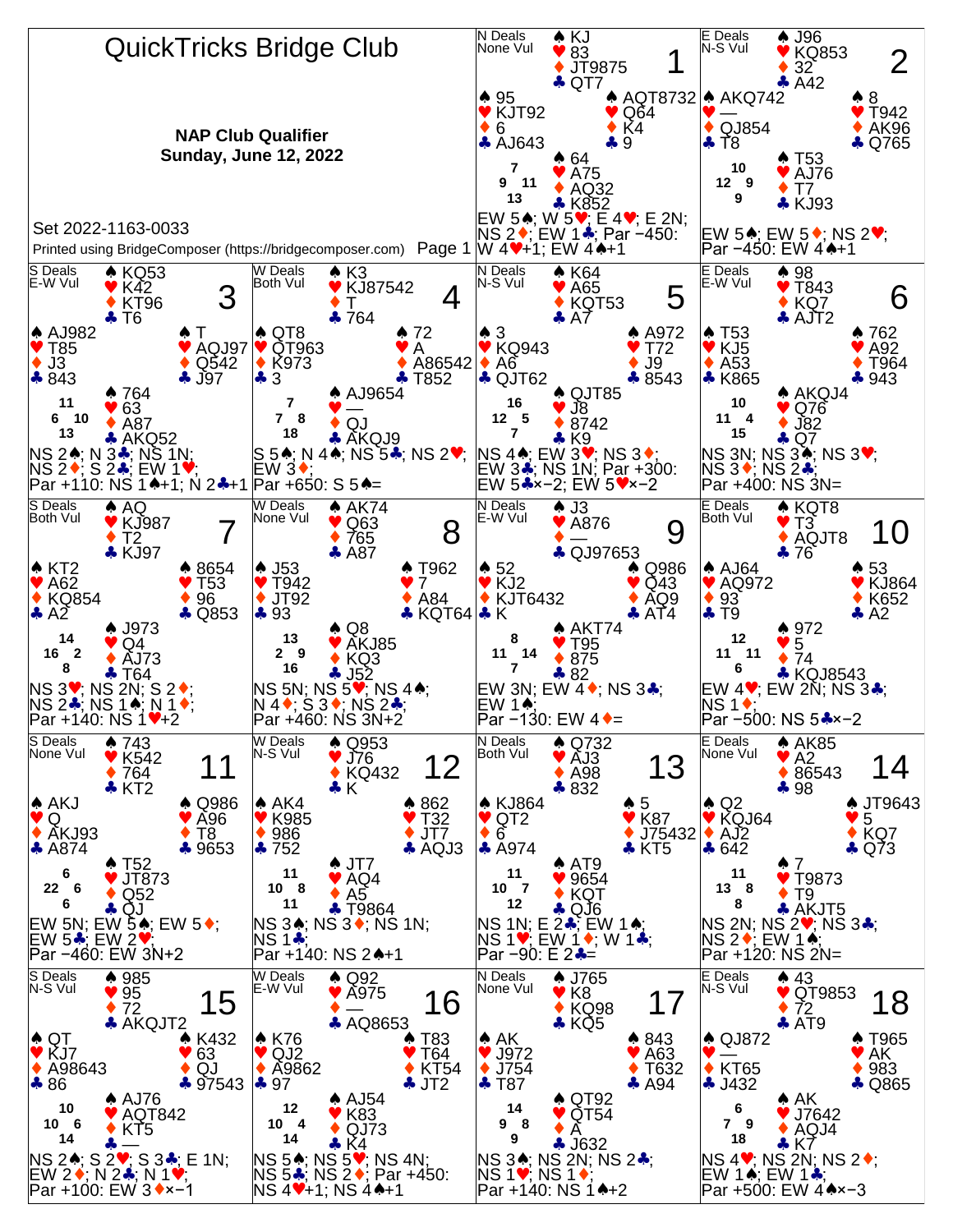